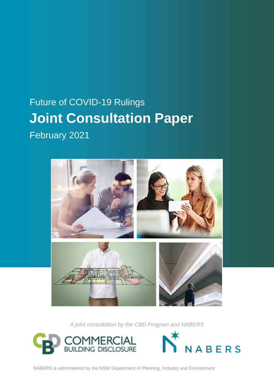## Future of COVID-19 Rulings **Joint Consultation Paper**

February 2021



*A joint consultation by the CBD Program and NABERS*





NABERS is administered by the NSW Department of Planning, Industry and Environment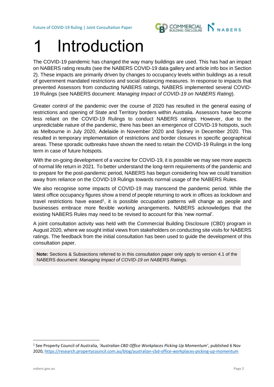Future of COVID-19 Ruling | Joint Consultation Paper



# Introduction

The COVID-19 pandemic has changed the way many buildings are used. This has had an impact on NABERS rating results (see the NABERS COVID-19 data gallery and article info box in Section 2). These impacts are primarily driven by changes to occupancy levels within buildings as a result of government mandated restrictions and social distancing measures. In response to impacts that prevented Assessors from conducting NABERS ratings, NABERS implemented several COVID-19 Rulings (see NABERS document: *Managing Impact of COVID-19 on NABERS Rating*).

Greater control of the pandemic over the course of 2020 has resulted in the general easing of restrictions and opening of State and Territory borders within Australia. Assessors have become less reliant on the COVID-19 Rulings to conduct NABERS ratings. However, due to the unpredictable nature of the pandemic, there has been an emergence of COVID-19 hotspots, such as Melbourne in July 2020, Adelaide in November 2020 and Sydney in December 2020. This resulted in temporary implementation of restrictions and border closures in specific geographical areas. These sporadic outbreaks have shown the need to retain the COVID-19 Rulings in the long term in case of future hotspots.

With the on-going development of a vaccine for COVID-19, it is possible we may see more aspects of normal life return in 2021. To better understand the long-term requirements of the pandemic and to prepare for the post-pandemic period, NABERS has begun considering how we could transition away from reliance on the COVID-19 Rulings towards normal usage of the NABERS Rules.

We also recognise some impacts of COVID-19 may transcend the pandemic period. While the latest office occupancy figures show a trend of people returning to work in offices as lockdown and travel restrictions have eased<sup>1</sup>, it is possible occupation patterns will change as people and businesses embrace more flexible working arrangements. NABERS acknowledges that the existing NABERS Rules may need to be revised to account for this 'new normal'.

A joint consultation activity was held with the Commercial Building Disclosure (CBD) program in August 2020, where we sought initial views from stakeholders on conducting site visits for NABERS ratings. The feedback from the initial consultation has been used to guide the development of this consultation paper.

**Note:** Sections & Subsections referred to in this consultation paper only apply to version 4.1 of the NABERS document: *Managing Impact of COVID-19 on NABERS Ratings*.

<sup>1</sup> See Property Council of Australia, *'Australian CBD Office Workplaces Picking Up Momentum'*, published 6 Nov 2020,<https://research.propertycouncil.com.au/blog/australian-cbd-office-workplaces-picking-up-momentum>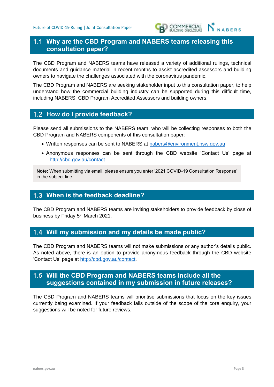

### **Why are the CBD Program and NABERS teams releasing this consultation paper?**

The CBD Program and NABERS teams have released a variety of additional rulings, technical documents and guidance material in recent months to assist accredited assessors and building owners to navigate the challenges associated with the coronavirus pandemic.

The CBD Program and NABERS are seeking stakeholder input to this consultation paper, to help understand how the commercial building industry can be supported during this difficult time, including NABERS, CBD Program Accredited Assessors and building owners.

## **How do I provide feedback?**

Please send all submissions to the NABERS team, who will be collecting responses to both the CBD Program and NABERS components of this consultation paper:

- Written responses can be sent to NABERS at [nabers@environment.nsw.gov.au](mailto:nabers@environment.nsw.gov.au)
- Anonymous responses can be sent through the CBD website 'Contact Us' page at <http://cbd.gov.au/contact>

**Note:** When submitting via email, please ensure you enter '2021 COVID-19 Consultation Response' in the subject line.

#### **When is the feedback deadline?**

The CBD Program and NABERS teams are inviting stakeholders to provide feedback by close of business by Friday 5<sup>th</sup> March 2021.

#### **Will my submission and my details be made public?**

The CBD Program and NABERS teams will not make submissions or any author's details public. As noted above, there is an option to provide anonymous feedback through the CBD website 'Contact Us' page at [http://cbd.gov.au/contact.](http://cbd.gov.au/contact)

### **Will the CBD Program and NABERS teams include all the suggestions contained in my submission in future releases?**

The CBD Program and NABERS teams will prioritise submissions that focus on the key issues currently being examined. If your feedback falls outside of the scope of the core enquiry, your suggestions will be noted for future reviews.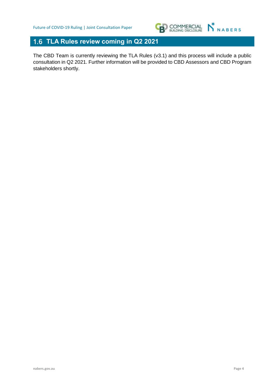

## **TLA Rules review coming in Q2 2021**

The CBD Team is currently reviewing the TLA Rules (v3.1) and this process will include a public consultation in Q2 2021. Further information will be provided to CBD Assessors and CBD Program stakeholders shortly.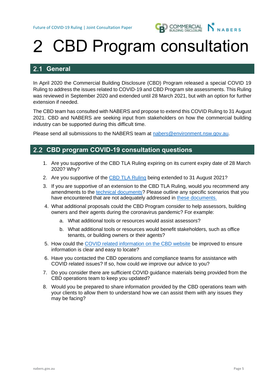

## 2 CBD Program consultation

## **General**

In April 2020 the Commercial Building Disclosure (CBD) Program released a special COVID 19 Ruling to address the issues related to COVID-19 and CBD Program site assessments. This Ruling was reviewed in September 2020 and extended until 28 March 2021, but with an option for further extension if needed.

The CBD team has consulted with NABERS and propose to extend this COVID Ruling to 31 August 2021. CBD and NABERS are seeking input from stakeholders on how the commercial building industry can be supported during this difficult time.

Please send all submissions to the NABERS team at [nabers@environment.nsw.gov.au.](mailto:nabers@environment.nsw.gov.au)

### **CBD program COVID-19 consultation questions**

- 1. Are you supportive of the CBD TLA Ruling expiring on its current expiry date of 28 March 2020? Why?
- 2. Are you supportive of the [CBD TLA Ruling](https://www.cbd.gov.au/sites/default/files/2020-10/CBD%20TLA%20Ruling%20%28September%202020%29.pdf) being extended to 31 August 2021?
- 3. If you are supportive of an extension to the CBD TLA Ruling, would you recommend any amendments to the [technical documents?](https://www.cbd.gov.au/program/overview/covid-19) Please outline any specific scenarios that you have encountered that are not adequately addressed in [these documents.](https://www.cbd.gov.au/program/overview/covid-19)
- 4. What additional proposals could the CBD Program consider to help assessors, building owners and their agents during the coronavirus pandemic? For example:
	- a. What additional tools or resources would assist assessors?
	- b. What additional tools or resources would benefit stakeholders, such as office tenants, or building owners or their agents?
- 5. How could the [COVID related information on the CBD website](https://www.cbd.gov.au/program/overview/covid-19) be improved to ensure information is clear and easy to locate?
- 6. Have you contacted the CBD operations and compliance teams for assistance with COVID related issues? If so, how could we improve our advice to you?
- 7. Do you consider there are sufficient COVID guidance materials being provided from the CBD operations team to keep you updated?
- 8. Would you be prepared to share information provided by the CBD operations team with your clients to allow them to understand how we can assist them with any issues they may be facing?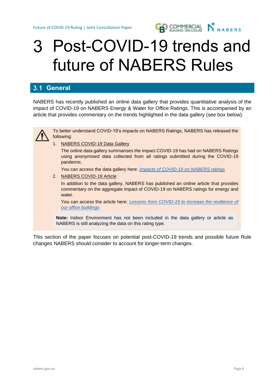

## Post-COVID-19 trends and future of NABERS Rules

## **General**

NABERS has recently published an online data gallery that provides quantitative analysis of the impact of COVID-19 on NABERS Energy & Water for Office Ratings. This is accompanied by an article that provides commentary on the trends highlighted in the data gallery (see box below).



To better understand COVID-19's impacts on NABERS Ratings, NABERS has released the following:

1. NABERS COVID-19 Data Gallery

The online data gallery summarises the impact COVID-19 has had on NABERS Ratings using anonymised data collected from all ratings submitted during the COVID-19 pandemic.

You can access the data gallery here: *[Impacts of COVID-19 on NABERS ratings](https://www.nabers.gov.au/data-gallery/impacts-covid-19-nabers-ratings)*

2. NABERS COVID-19 Article

In addition to the data gallery, NABERS has published an online article that provides commentary on the aggregate impact of COVID-19 on NABERS ratings for energy and water.

You can access the article here: *Lessons from [COVID-19 to increase the resilience of](https://www.nabers.gov.au/about/news/lessons-covid-19-increase-resilience-our-office-buildings)  [our office buildings](https://www.nabers.gov.au/about/news/lessons-covid-19-increase-resilience-our-office-buildings)*

**Note:** Indoor Environment has not been included in the data gallery or article as NABERS is still analyzing the data on this rating type.

This section of the paper focuses on potential post-COVID-19 trends and possible future Rule changes NABERS should consider to account for longer-term changes.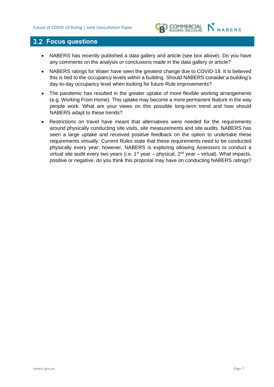

### **Focus questions**

- NABERS has recently published a data gallery and article (see box above). Do you have any comments on the analysis or conclusions made in the data gallery or article?
- NABERS ratings for Water have seen the greatest change due to COVID-19. It is believed this is tied to the occupancy levels within a building. Should NABERS consider a building's day-to-day occupancy level when looking for future Rule improvements?
- The pandemic has resulted in the greater uptake of more flexible working arrangements (e.g. Working From Home). This uptake may become a more permanent feature in the way people work. What are your views on this possible long-term trend and how should NABERS adapt to these trends?
- Restrictions on travel have meant that alternatives were needed for the requirements around physically conducting site visits, site measurements and site audits. NABERS has seen a large uptake and received positive feedback on the option to undertake these requirements virtually. Current Rules state that these requirements need to be conducted physically every year; however, NABERS is exploring allowing Assessors to conduct a virtual site audit every two years (i.e.  $1^{st}$  year – physical,  $2^{nd}$  year – virtual). What impacts, positive or negative, do you think this proposal may have on conducting NABERS ratings?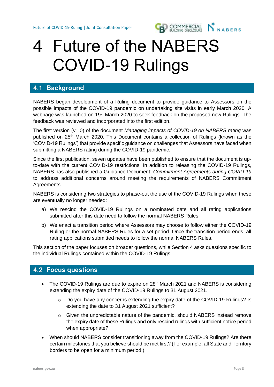

## Future of the NABERS COVID-19 Rulings

## **4.1 Background**

NABERS began development of a Ruling document to provide guidance to Assessors on the possible impacts of the COVID-19 pandemic on undertaking site visits in early March 2020. A webpage was launched on 19<sup>th</sup> March 2020 to seek feedback on the proposed new Rulings. The feedback was reviewed and incorporated into the first edition.

The first version (v1.0) of the document *Managing impacts of COVID-19 on NABERS rating* was published on 25th March 2020. This Document contains a collection of Rulings (known as the 'COVID-19 Rulings') that provide specific guidance on challenges that Assessors have faced when submitting a NABERS rating during the COVID-19 pandemic.

Since the first publication, seven updates have been published to ensure that the document is upto-date with the current COVID-19 restrictions. In addition to releasing the COVID-19 Rulings, NABERS has also published a Guidance Document: *Commitment Agreements during COVID-19* to address additional concerns around meeting the requirements of NABERS Commitment Agreements.

NABERS is considering two strategies to phase-out the use of the COVID-19 Rulings when these are eventually no longer needed:

- a) We rescind the COVID-19 Rulings on a nominated date and all rating applications submitted after this date need to follow the normal NABERS Rules.
- b) We enact a transition period where Assessors may choose to follow either the COVID-19 Ruling or the normal NABERS Rules for a set period. Once the transition period ends, all rating applications submitted needs to follow the normal NABERS Rules.

This section of the paper focuses on broader questions, while Section 4 asks questions specific to the individual Rulings contained within the COVID-19 Rulings.

### **Focus questions**

- The COVID-19 Rulings are due to expire on 28<sup>th</sup> March 2021 and NABERS is considering extending the expiry date of the COVID-19 Rulings to 31 August 2021.
	- o Do you have any concerns extending the expiry date of the COVID-19 Rulings? Is extending the date to 31 August 2021 sufficient?
	- $\circ$  Given the unpredictable nature of the pandemic, should NABERS instead remove the expiry date of these Rulings and only rescind rulings with sufficient notice period when appropriate?
- When should NABERS consider transitioning away from the COVID-19 Rulings? Are there certain milestones that you believe should be met first? (For example, all State and Territory borders to be open for a minimum period.)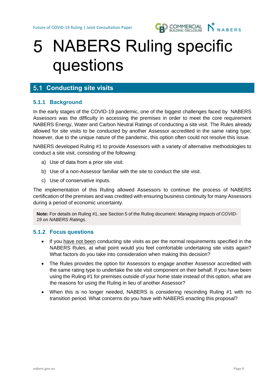

## 5 NABERS Ruling specific questions

## **5.1 Conducting site visits**

#### **5.1.1 Background**

In the early stages of the COVID-19 pandemic, one of the biggest challenges faced by NABERS Assessors was the difficulty in accessing the premises in order to meet the core requirement NABERS Energy, Water and Carbon Neutral Ratings of conducting a site visit. The Rules already allowed for site visits to be conducted by another Assessor accredited in the same rating type; however, due to the unique nature of the pandemic, this option often could not resolve this issue.

NABERS developed Ruling #1 to provide Assessors with a variety of alternative methodologies to conduct a site visit, consisting of the following:

- a) Use of data from a prior site visit.
- b) Use of a non-Assessor familiar with the site to conduct the site visit.
- c) Use of conservative inputs.

The implementation of this Ruling allowed Assessors to continue the process of NABERS certification of the premises and was credited with ensuring business continuity for many Assessors during a period of economic uncertainty.

**Note:** For details on Ruling #1, see Section 5 of the Ruling document: *Managing Impacts of COVID-19 on NABERS Ratings*.

#### **5.1.2 Focus questions**

- If you have not been conducting site visits as per the normal requirements specified in the NABERS Rules, at what point would you feel comfortable undertaking site visits again? What factors do you take into consideration when making this decision?
- The Rules provides the option for Assessors to engage another Assessor accredited with the same rating type to undertake the site visit component on their behalf. If you have been using the Ruling #1 for premises outside of your home state instead of this option, what are the reasons for using the Ruling in lieu of another Assessor?
- When this is no longer needed, NABERS is considering rescinding Ruling #1 with no transition period. What concerns do you have with NABERS enacting this proposal?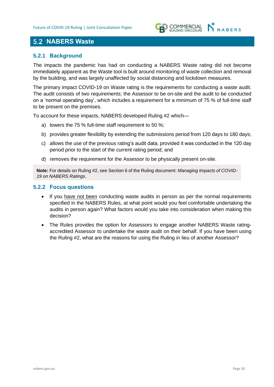

## **5.2 NABERS Waste**

#### **5.2.1 Background**

The impacts the pandemic has had on conducting a NABERS Waste rating did not become immediately apparent as the Waste tool is built around monitoring of waste collection and removal by the building, and was largely unaffected by social distancing and lockdown measures.

The primary impact COVID-19 on Waste rating is the requirements for conducting a waste audit. The audit consists of two requirements; the Assessor to be on-site and the audit to be conducted on a 'normal operating day', which includes a requirement for a minimum of 75 % of full-time staff to be present on the premises.

To account for these impacts, NABERS developed Ruling #2 which—

- a) lowers the 75 % full-time staff requirement to 50 %;
- b) provides greater flexibility by extending the submissions period from 120 days to 180 days;
- c) allows the use of the previous rating's audit data, provided it was conducted in the 120 day period prior to the start of the current rating period; and
- d) removes the requirement for the Assessor to be physically present on-site.

**Note:** For details on Ruling #2, see Section 6 of the Ruling document: *Managing Impacts of COVID-19 on NABERS Ratings*.

#### **5.2.2 Focus questions**

- If you have not been conducting waste audits in person as per the normal requirements specified in the NABERS Rules, at what point would you feel comfortable undertaking the audits in person again? What factors would you take into consideration when making this decision?
- The Rules provides the option for Assessors to engage another NABERS Waste ratingaccredited Assessor to undertake the waste audit on their behalf. If you have been using the Ruling #2, what are the reasons for using the Ruling in lieu of another Assessor?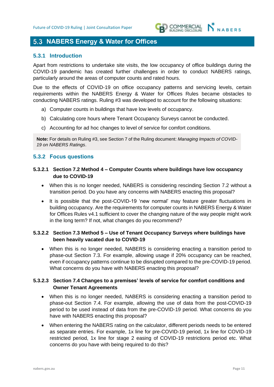

## **5.3 NABERS Energy & Water for Offices**

#### **5.3.1 Introduction**

Apart from restrictions to undertake site visits, the low occupancy of office buildings during the COVID-19 pandemic has created further challenges in order to conduct NABERS ratings, particularly around the areas of computer counts and rated hours.

Due to the effects of COVID-19 on office occupancy patterns and servicing levels, certain requirements within the NABERS Energy & Water for Offices Rules became obstacles to conducting NABERS ratings. Ruling #3 was developed to account for the following situations:

- a) Computer counts in buildings that have low levels of occupancy.
- b) Calculating core hours where Tenant Occupancy Surveys cannot be conducted.
- c) Accounting for ad hoc changes to level of service for comfort conditions.

**Note:** For details on Ruling #3, see Section 7 of the Ruling document: *Managing Impacts of COVID-19 on NABERS Ratings*.

#### **5.3.2 Focus questions**

#### **5.3.2.1 Section 7.2 Method 4 – Computer Counts where buildings have low occupancy due to COVID-19**

- When this is no longer needed, NABERS is considering rescinding Section 7.2 without a transition period. Do you have any concerns with NABERS enacting this proposal?
- It is possible that the post-COVID-19 'new normal' may feature greater fluctuations in building occupancy. Are the requirements for computer counts in NABERS Energy & Water for Offices Rules v4.1 sufficient to cover the changing nature of the way people might work in the long term? If not, what changes do you recommend?

#### **5.3.2.2 Section 7.3 Method 5 – Use of Tenant Occupancy Surveys where buildings have been heavily vacated due to COVID-19**

• When this is no longer needed, NABERS is considering enacting a transition period to phase-out Section 7.3. For example, allowing usage if 20% occupancy can be reached, even if occupancy patterns continue to be disrupted compared to the pre-COVID-19 period. What concerns do you have with NABERS enacting this proposal?

#### **5.3.2.3 Section 7.4 Changes to a premises' levels of service for comfort conditions and Owner Tenant Agreements**

- When this is no longer needed, NABERS is considering enacting a transition period to phase-out Section 7.4. For example, allowing the use of data from the post-COVID-19 period to be used instead of data from the pre-COVID-19 period. What concerns do you have with NABERS enacting this proposal?
- When entering the NABERS rating on the calculator, different periods needs to be entered as separate entries. For example, 1x line for pre-COVID-19 period, 1x line for COVID-19 restricted period, 1x line for stage 2 easing of COVID-19 restrictions period etc. What concerns do you have with being required to do this?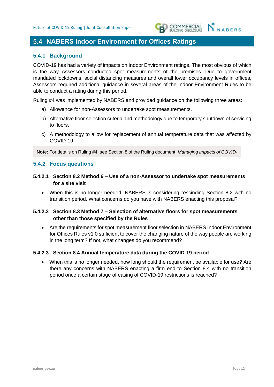

## **5.4 NABERS Indoor Environment for Offices Ratings**

#### **5.4.1 Background**

COVID-19 has had a variety of impacts on Indoor Environment ratings. The most obvious of which is the way Assessors conducted spot measurements of the premises. Due to government mandated lockdowns, social distancing measures and overall lower occupancy levels in offices, Assessors required additional guidance in several areas of the Indoor Environment Rules to be able to conduct a rating during this period.

Ruling #4 was implemented by NABERS and provided guidance on the following three areas:

- a) Allowance for non-Assessors to undertake spot measurements.
- b) Alternative floor selection criteria and methodology due to temporary shutdown of servicing to floors.
- c) A methodology to allow for replacement of annual temperature data that was affected by COVID-19.

**Note:** For details on Ruling #4, see Section 8 of the Ruling document: *Managing Impacts of COVID-*

#### **5.4.2 Focus questions**

- **5.4.2.1 Section 8.2 Method 6 – Use of a non-Assessor to undertake spot measurements for a site visit**
	- When this is no longer needed, NABERS is considering rescinding Section 8.2 with no transition period. What concerns do you have with NABERS enacting this proposal?

#### **5.4.2.2 Section 8.3 Method 7 – Selection of alternative floors for spot measurements other than those specified by the Rules**

• Are the requirements for spot measurement floor selection in NABERS Indoor Environment for Offices Rules v1.0 sufficient to cover the changing nature of the way people are working in the long term? If not, what changes do you recommend?

#### **5.4.2.3 Section 8.4 Annual temperature data during the COVID-19 period**

• When this is no longer needed, how long should the requirement be available for use? Are there any concerns with NABERS enacting a firm end to Section 8.4 with no transition period once a certain stage of easing of COVID-19 restrictions is reached?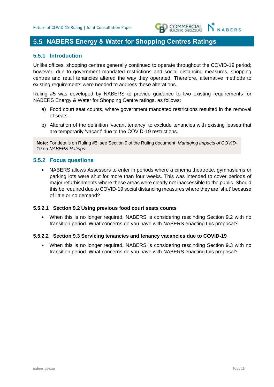

## **NABERS Energy & Water for Shopping Centres Ratings**

#### **5.5.1 Introduction**

Unlike offices, shopping centres generally continued to operate throughout the COVID-19 period; however, due to government mandated restrictions and social distancing measures, shopping centres and retail tenancies altered the way they operated. Therefore, alternative methods to existing requirements were needed to address these alterations.

Ruling #5 was developed by NABERS to provide guidance to two existing requirements for NABERS Energy & Water for Shopping Centre ratings, as follows:

- a) Food court seat counts, where government mandated restrictions resulted in the removal of seats.
- b) Alteration of the definition 'vacant tenancy' to exclude tenancies with existing leases that are temporarily 'vacant' due to the COVID-19 restrictions.

**Note:** For details on Ruling #5, see Section 9 of the Ruling document: *Managing Impacts of COVID-19 on NABERS Ratings*.

#### **5.5.2 Focus questions**

• NABERS allows Assessors to enter in periods where a cinema theatrette, gymnasiums or parking lots were shut for more than four weeks. This was intended to cover periods of major refurbishments where these areas were clearly not inaccessible to the public. Should this be required due to COVID-19 social distancing measures where they are 'shut' because of little or no demand?

#### **5.5.2.1 Section 9.2 Using previous food court seats counts**

• When this is no longer required, NABERS is considering rescinding Section 9.2 with no transition period. What concerns do you have with NABERS enacting this proposal?

#### **5.5.2.2 Section 9.3 Servicing tenancies and tenancy vacancies due to COVID-19**

• When this is no longer required, NABERS is considering rescinding Section 9.3 with no transition period. What concerns do you have with NABERS enacting this proposal?